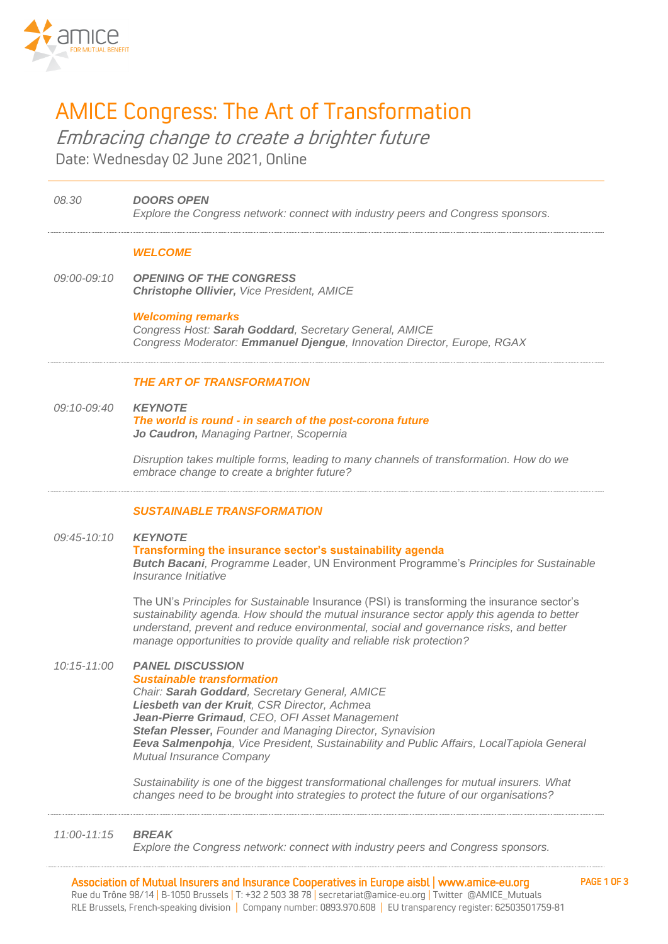

**08.30 DOORS OPEN**

# AMICE Congress: The Art of Transformation

Embracing change to create a brighter future Date: Wednesday 02 June 2021, Online

## **Explore the Congress network: connect with industry peers and Congress sponsors. WELCOME 09:00-09:10 OPENING OF THE CONGRESS Christophe Ollivier, Vice President, AMICE Welcoming remarks Congress Host: Sarah Goddard, Secretary General, AMICE Congress Moderator: Emmanuel Djengue, Innovation Director, Europe, RGAX THE ART OF TRANSFORMATION 09:10-09:40 KEYNOTE The world is round - in search of the post-corona future Jo Caudron, Managing Partner, Scopernia Disruption takes multiple forms, leading to many channels of transformation. How do we embrace change to create a brighter future?**

## **SUSTAINABLE TRANSFORMATION**

## **09:45-10:10 KEYNOTE Transforming the insurance sector's sustainability agenda Butch Bacani, Programme Leader, UN Environment Programme's Principles for Sustainable Insurance Initiative**

**The UN's Principles for Sustainable Insurance (PSI) is transforming the insurance sector's sustainability agenda. How should the mutual insurance sector apply this agenda to better understand, prevent and reduce environmental, social and governance risks, and better manage opportunities to provide quality and reliable risk protection?**

## **10:15-11:00 PANEL DISCUSSION**

## **Sustainable transformation**

**Chair: Sarah Goddard, Secretary General, AMICE Liesbeth van der Kruit, CSR Director, Achmea Jean-Pierre Grimaud, CEO, OFI Asset Management Stefan Plesser, Founder and Managing Director, Synavision Eeva Salmenpohja, Vice President, Sustainability and Public Affairs, LocalTapiola General Mutual Insurance Company**

**Sustainability is one of the biggest transformational challenges for mutual insurers. What changes need to be brought into strategies to protect the future of our organisations?**

## **11:00-11:15 BREAK**

**Explore the Congress network: connect with industry peers and Congress sponsors.**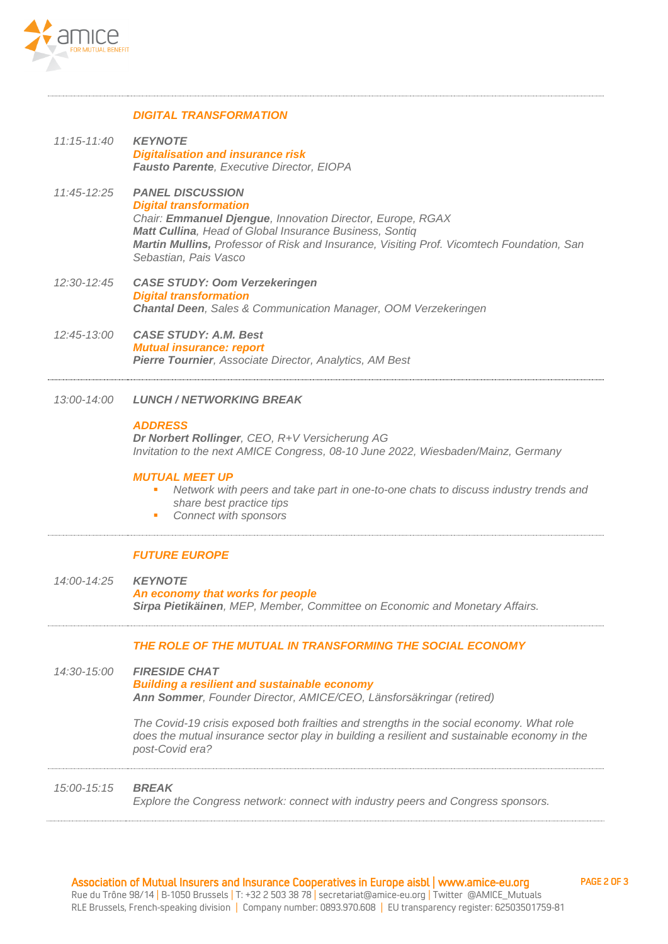

#### **DIGITAL TRANSFORMATION**

- **11:15-11:40 KEYNOTE Digitalisation and insurance risk Fausto Parente, Executive Director, EIOPA**
- **11:45-12:25 PANEL DISCUSSION Digital transformation Chair: Emmanuel Djengue, Innovation Director, Europe, RGAX Matt Cullina, Head of Global Insurance Business, Sontiq Martin Mullins, Professor of Risk and Insurance, Visiting Prof. Vicomtech Foundation, San Sebastian, Pais Vasco**
- **12:30-12:45 CASE STUDY: Oom Verzekeringen Digital transformation Chantal Deen, Sales & Communication Manager, OOM Verzekeringen**
- **12:45-13:00 CASE STUDY: A.M. Best Mutual insurance: report Pierre Tournier, Associate Director, Analytics, AM Best**
- **13:00-14:00 LUNCH / NETWORKING BREAK**

#### **ADDRESS**

**Dr Norbert Rollinger, CEO, R+V Versicherung AG Invitation to the next AMICE Congress, 08-10 June 2022, Wiesbaden/Mainz, Germany**

#### **MUTUAL MEET UP**

- Network with peers and take part in one-to-one chats to discuss industry trends and **share best practice tips**
- **Connect with sponsors**

#### **FUTURE EUROPE**

**14:00-14:25 KEYNOTE An economy that works for people Sirpa Pietikäinen, MEP, Member, Committee on Economic and Monetary Affairs.**

### **THE ROLE OF THE MUTUAL IN TRANSFORMING THE SOCIAL ECONOMY**

**14:30-15:00 FIRESIDE CHAT Building a resilient and sustainable economy Ann Sommer, Founder Director, AMICE/CEO, Länsforsäkringar (retired)**

> **The Covid-19 crisis exposed both frailties and strengths in the social economy. What role does the mutual insurance sector play in building a resilient and sustainable economy in the post-Covid era?**

## **15:00-15:15 BREAK**

**Explore the Congress network: connect with industry peers and Congress sponsors.**